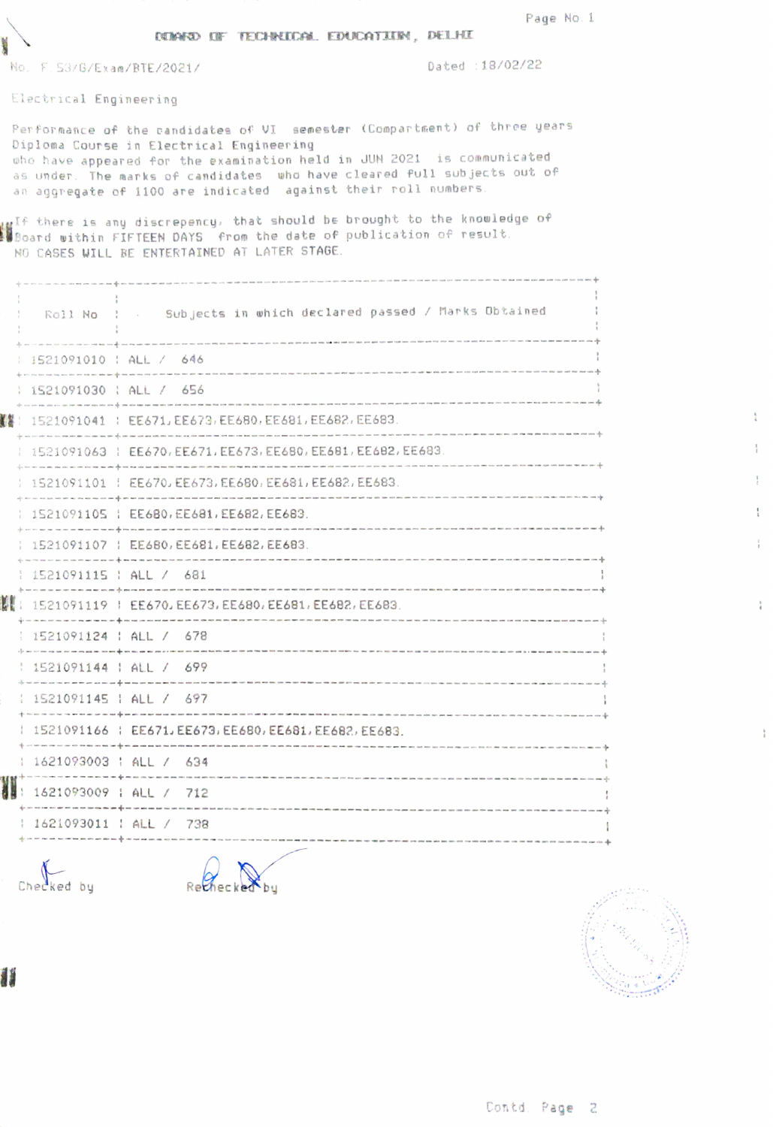|  |                                        | Page No.1 |  |
|--|----------------------------------------|-----------|--|
|  | DUNNED DE TECHNOLOGIE EDUCATION, DELHI |           |  |

No. F. 53/G/Exam/BTE/2021/

Dated : 18/02/22

Electrical Engineering

Performance of the candidates of VI semester (Compartment) of three years Diploma Course in Electrical Engineering who have appeared for the examination held in JUN 2021 is communicated as under. The marks of candidates who have cleared full subjects out of an aggregate of 1100 are indicated against their roll numbers.

wif there is any discrepency, that should be brought to the knowledge of<br>Board within FIFTEEN DAYS from the date of publication of result. NO CASES WILL BE ENTERTAINED AT LATER STAGE.

|    |                          | Roll No : . Subjects in which declared passed / Marks Obtained                                                                             |
|----|--------------------------|--------------------------------------------------------------------------------------------------------------------------------------------|
|    | 1521091010 : ALL / 646   |                                                                                                                                            |
|    | 1521091030 : ALL / 656   |                                                                                                                                            |
|    |                          | ▓▓ : 1521091041 : EE671, EE673, EE680, EE681, EE682, EE683.                                                                                |
|    |                          | 1521091063 : EE670, EE671, EE673, EE680, EE681, EE682, EE683.                                                                              |
|    |                          | 1521091101   EE670, EE673, EE680, EE681, EE682, EE683.                                                                                     |
|    |                          | 1521091105   EE680, EE681, EE682, EE683.                                                                                                   |
|    |                          | 1521091107   EE6B0, EE681, EE682, EE683.                                                                                                   |
|    |                          | $1521091115$ $HCL / 681$                                                                                                                   |
| KE |                          | 1521091119   EE670, EE673, EE680, EE681, EE682, EE683.                                                                                     |
|    |                          | 1521091124   ALL / 678                                                                                                                     |
|    |                          | 1521091144   ALL / 699<br>and their two contracts are an experience of the contracts that the contracts are the contracts of the contracts |
|    |                          | 1521091145   ALL / 697                                                                                                                     |
|    |                          | 1521091166   EE671, EE673, EE680, EE681, EE682, EE683.                                                                                     |
|    | 1 1621093003 : ALL / 634 |                                                                                                                                            |
|    |                          |                                                                                                                                            |
|    |                          | 1621093011   ALL / 738                                                                                                                     |
|    |                          |                                                                                                                                            |

Checked by

1

Rechecked Х<br>Мы



 $\frac{1}{4}$ 

 $\frac{1}{4}$ 

 $\frac{1}{k}$ 

ĵ.

 $_{t}^{\mathrm{+}}$ 

 $\frac{0}{4}$